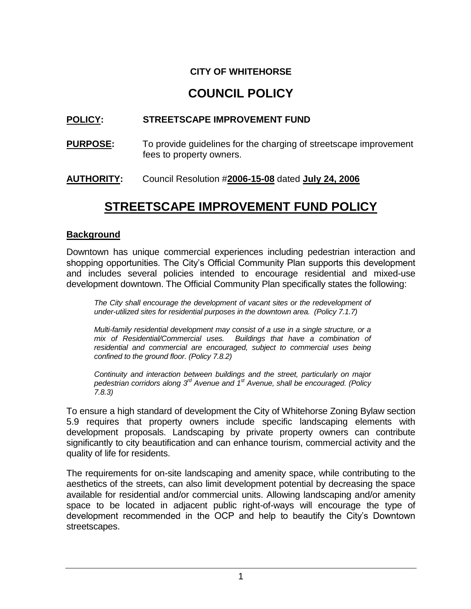# **CITY OF WHITEHORSE**

# **COUNCIL POLICY**

## **POLICY: STREETSCAPE IMPROVEMENT FUND**

- **PURPOSE:** To provide guidelines for the charging of streetscape improvement fees to property owners.
- **AUTHORITY:** Council Resolution #**2006-15-08** dated **July 24, 2006**

# **STREETSCAPE IMPROVEMENT FUND POLICY**

#### **Background**

Downtown has unique commercial experiences including pedestrian interaction and shopping opportunities. The City's Official Community Plan supports this development and includes several policies intended to encourage residential and mixed-use development downtown. The Official Community Plan specifically states the following:

*The City shall encourage the development of vacant sites or the redevelopment of under-utilized sites for residential purposes in the downtown area. (Policy 7.1.7)*

*Multi-family residential development may consist of a use in a single structure, or a mix of Residential/Commercial uses. Buildings that have a combination of residential and commercial are encouraged, subject to commercial uses being confined to the ground floor. (Policy 7.8.2)*

*Continuity and interaction between buildings and the street, particularly on major pedestrian corridors along 3rd Avenue and 1st Avenue, shall be encouraged. (Policy 7.8.3)*

To ensure a high standard of development the City of Whitehorse Zoning Bylaw section 5.9 requires that property owners include specific landscaping elements with development proposals. Landscaping by private property owners can contribute significantly to city beautification and can enhance tourism, commercial activity and the quality of life for residents.

The requirements for on-site landscaping and amenity space, while contributing to the aesthetics of the streets, can also limit development potential by decreasing the space available for residential and/or commercial units. Allowing landscaping and/or amenity space to be located in adjacent public right-of-ways will encourage the type of development recommended in the OCP and help to beautify the City's Downtown streetscapes.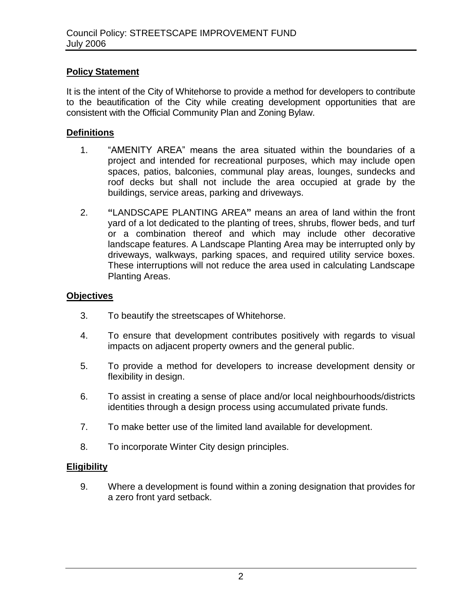## **Policy Statement**

It is the intent of the City of Whitehorse to provide a method for developers to contribute to the beautification of the City while creating development opportunities that are consistent with the Official Community Plan and Zoning Bylaw.

### **Definitions**

- 1. "AMENITY AREA" means the area situated within the boundaries of a project and intended for recreational purposes, which may include open spaces, patios, balconies, communal play areas, lounges, sundecks and roof decks but shall not include the area occupied at grade by the buildings, service areas, parking and driveways.
- 2. **"**LANDSCAPE PLANTING AREA**"** means an area of land within the front yard of a lot dedicated to the planting of trees, shrubs, flower beds, and turf or a combination thereof and which may include other decorative landscape features. A Landscape Planting Area may be interrupted only by driveways, walkways, parking spaces, and required utility service boxes. These interruptions will not reduce the area used in calculating Landscape Planting Areas.

#### **Objectives**

- 3. To beautify the streetscapes of Whitehorse.
- 4. To ensure that development contributes positively with regards to visual impacts on adjacent property owners and the general public.
- 5. To provide a method for developers to increase development density or flexibility in design.
- 6. To assist in creating a sense of place and/or local neighbourhoods/districts identities through a design process using accumulated private funds.
- 7. To make better use of the limited land available for development.
- 8. To incorporate Winter City design principles.

#### **Eligibility**

9. Where a development is found within a zoning designation that provides for a zero front yard setback.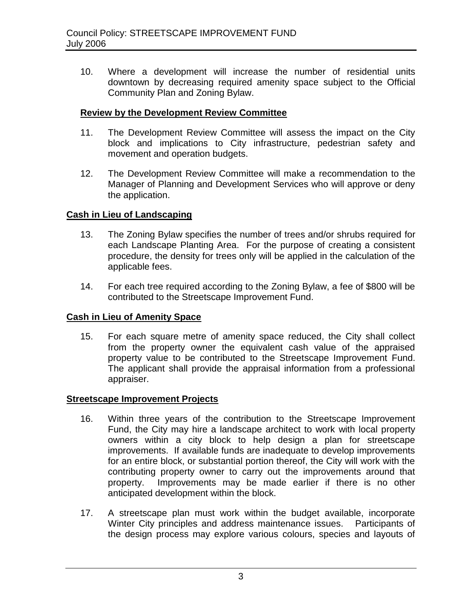10. Where a development will increase the number of residential units downtown by decreasing required amenity space subject to the Official Community Plan and Zoning Bylaw.

### **Review by the Development Review Committee**

- 11. The Development Review Committee will assess the impact on the City block and implications to City infrastructure, pedestrian safety and movement and operation budgets.
- 12. The Development Review Committee will make a recommendation to the Manager of Planning and Development Services who will approve or deny the application.

## **Cash in Lieu of Landscaping**

- 13. The Zoning Bylaw specifies the number of trees and/or shrubs required for each Landscape Planting Area. For the purpose of creating a consistent procedure, the density for trees only will be applied in the calculation of the applicable fees.
- 14. For each tree required according to the Zoning Bylaw, a fee of \$800 will be contributed to the Streetscape Improvement Fund.

#### **Cash in Lieu of Amenity Space**

15. For each square metre of amenity space reduced, the City shall collect from the property owner the equivalent cash value of the appraised property value to be contributed to the Streetscape Improvement Fund. The applicant shall provide the appraisal information from a professional appraiser.

#### **Streetscape Improvement Projects**

- 16. Within three years of the contribution to the Streetscape Improvement Fund, the City may hire a landscape architect to work with local property owners within a city block to help design a plan for streetscape improvements. If available funds are inadequate to develop improvements for an entire block, or substantial portion thereof, the City will work with the contributing property owner to carry out the improvements around that property. Improvements may be made earlier if there is no other anticipated development within the block.
- 17. A streetscape plan must work within the budget available, incorporate Winter City principles and address maintenance issues. Participants of the design process may explore various colours, species and layouts of